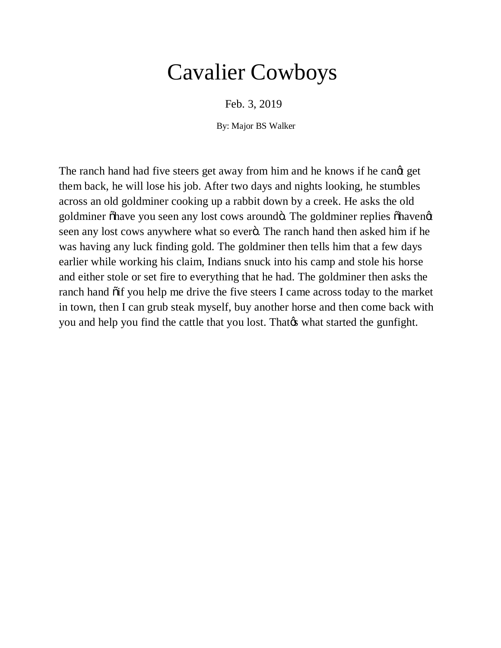# Cavalier Cowboys

Feb. 3, 2019

By: Major BS Walker

The ranch hand had five steers get away from him and he knows if he cand get them back, he will lose his job. After two days and nights looking, he stumbles across an old goldminer cooking up a rabbit down by a creek. He asks the old goldminer õhave you seen any lost cows aroundö. The goldminer replies õhavengt seen any lost cows anywhere what so evero. The ranch hand then asked him if he was having any luck finding gold. The goldminer then tells him that a few days earlier while working his claim, Indians snuck into his camp and stole his horse and either stole or set fire to everything that he had. The goldminer then asks the ranch hand  $\tilde{o}$  if you help me drive the five steers I came across today to the market in town, then I can grub steak myself, buy another horse and then come back with you and help you find the cattle that you lost. That that started the gunfight.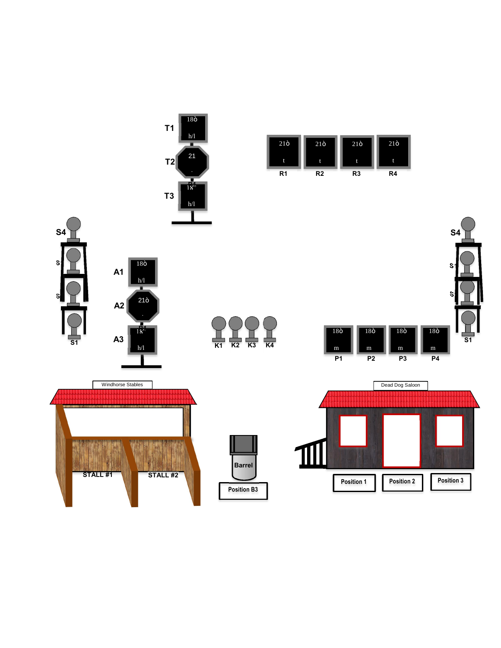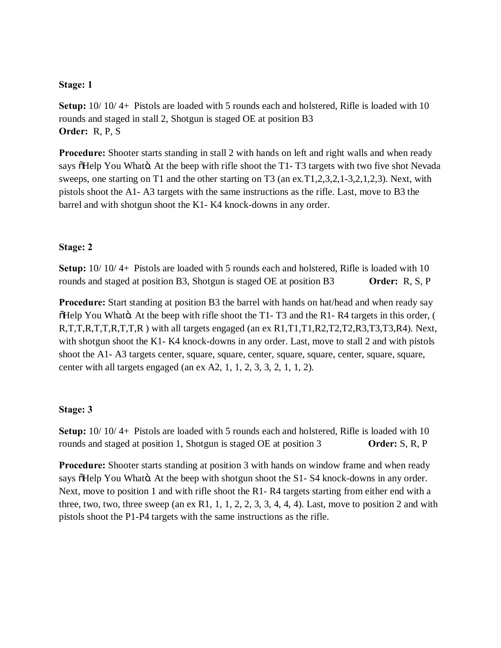## **Stage: 1**

**Setup:** 10/ 10/ 4+ Pistols are loaded with 5 rounds each and holstered, Rifle is loaded with 10 rounds and staged in stall 2, Shotgun is staged OE at position B3 **Order:** R, P, S

**Procedure:** Shooter starts standing in stall 2 with hands on left and right walls and when ready says  $\delta$ Help You Whatö. At the beep with rifle shoot the T1-T3 targets with two five shot Nevada sweeps, one starting on T1 and the other starting on T3 (an ex.T1,2,3,2,1-3,2,1,2,3). Next, with pistols shoot the A1- A3 targets with the same instructions as the rifle. Last, move to B3 the barrel and with shotgun shoot the K1- K4 knock-downs in any order.

## **Stage: 2**

**Setup:** 10/ 10/ 4+ Pistols are loaded with 5 rounds each and holstered, Rifle is loaded with 10 rounds and staged at position B3, Shotgun is staged OE at position B3 **Order:** R, S, P

**Procedure:** Start standing at position B3 the barrel with hands on hat/head and when ready say  $H$  Then  $H$ <sup>1</sup> Help You What  $\ddot{o}$ . At the beep with rifle shoot the T<sup>1</sup>-T<sup>3</sup> and the R<sup>1</sup>-R<sup>4</sup> targets in this order, ( R,T,T,R,T,T,R,T,T,R ) with all targets engaged (an ex R1,T1,T1,R2,T2,T2,R3,T3,T3,R4). Next, with shotgun shoot the K1- K4 knock-downs in any order. Last, move to stall 2 and with pistols shoot the A1- A3 targets center, square, square, center, square, square, center, square, square, center with all targets engaged (an ex A2, 1, 1, 2, 3, 3, 2, 1, 1, 2).

## **Stage: 3**

**Setup:** 10/ 10/ 4+ Pistols are loaded with 5 rounds each and holstered, Rifle is loaded with 10 rounds and staged at position 1, Shotgun is staged OE at position 3 **Order:** S, R, P

**Procedure:** Shooter starts standing at position 3 with hands on window frame and when ready says  $\delta$ Help You Whatö. At the beep with shotgun shoot the S1- S4 knock-downs in any order. Next, move to position 1 and with rifle shoot the R1- R4 targets starting from either end with a three, two, two, three sweep (an ex R1, 1, 1, 2, 2, 3, 3, 4, 4, 4). Last, move to position 2 and with pistols shoot the P1-P4 targets with the same instructions as the rifle.